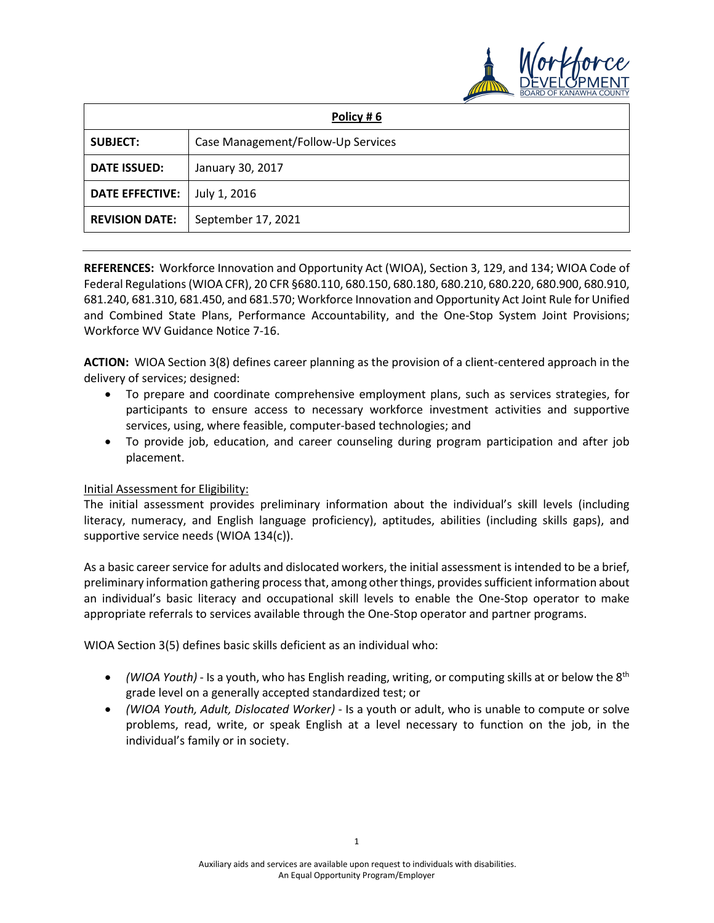

| Policy #6              |                                    |
|------------------------|------------------------------------|
| <b>SUBJECT:</b>        | Case Management/Follow-Up Services |
| <b>DATE ISSUED:</b>    | January 30, 2017                   |
| <b>DATE EFFECTIVE:</b> | July 1, 2016                       |
| <b>REVISION DATE:</b>  | September 17, 2021                 |

**REFERENCES:** Workforce Innovation and Opportunity Act (WIOA), Section 3, 129, and 134; WIOA Code of Federal Regulations (WIOA CFR), 20 CFR §680.110, 680.150, 680.180, 680.210, 680.220, 680.900, 680.910, 681.240, 681.310, 681.450, and 681.570; Workforce Innovation and Opportunity Act Joint Rule for Unified and Combined State Plans, Performance Accountability, and the One-Stop System Joint Provisions; Workforce WV Guidance Notice 7-16.

**ACTION:** WIOA Section 3(8) defines career planning as the provision of a client-centered approach in the delivery of services; designed:

- To prepare and coordinate comprehensive employment plans, such as services strategies, for participants to ensure access to necessary workforce investment activities and supportive services, using, where feasible, computer-based technologies; and
- To provide job, education, and career counseling during program participation and after job placement.

## Initial Assessment for Eligibility:

The initial assessment provides preliminary information about the individual's skill levels (including literacy, numeracy, and English language proficiency), aptitudes, abilities (including skills gaps), and supportive service needs (WIOA 134(c)).

As a basic career service for adults and dislocated workers, the initial assessment is intended to be a brief, preliminary information gathering process that, among other things, provides sufficient information about an individual's basic literacy and occupational skill levels to enable the One-Stop operator to make appropriate referrals to services available through the One-Stop operator and partner programs.

WIOA Section 3(5) defines basic skills deficient as an individual who:

- *(WIOA Youth)* Is a youth, who has English reading, writing, or computing skills at or below the 8<sup>th</sup> grade level on a generally accepted standardized test; or
- *(WIOA Youth, Adult, Dislocated Worker)* Is a youth or adult, who is unable to compute or solve problems, read, write, or speak English at a level necessary to function on the job, in the individual's family or in society.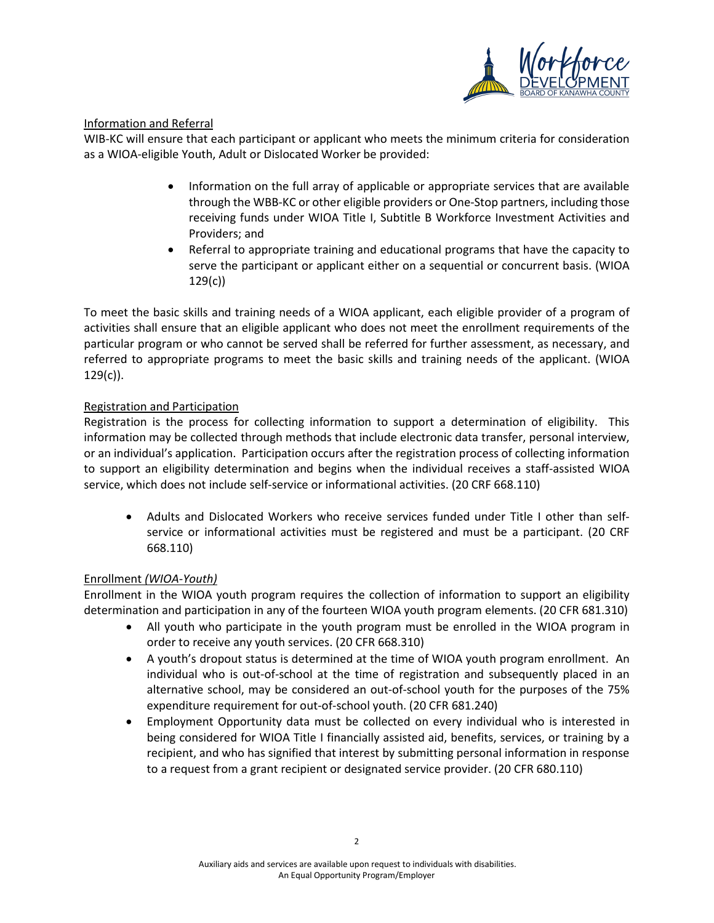

## Information and Referral

WIB-KC will ensure that each participant or applicant who meets the minimum criteria for consideration as a WIOA-eligible Youth, Adult or Dislocated Worker be provided:

- Information on the full array of applicable or appropriate services that are available through the WBB-KC or other eligible providers or One-Stop partners, including those receiving funds under WIOA Title I, Subtitle B Workforce Investment Activities and Providers; and
- Referral to appropriate training and educational programs that have the capacity to serve the participant or applicant either on a sequential or concurrent basis. (WIOA 129(c))

To meet the basic skills and training needs of a WIOA applicant, each eligible provider of a program of activities shall ensure that an eligible applicant who does not meet the enrollment requirements of the particular program or who cannot be served shall be referred for further assessment, as necessary, and referred to appropriate programs to meet the basic skills and training needs of the applicant. (WIOA  $129(c)$ ).

## Registration and Participation

Registration is the process for collecting information to support a determination of eligibility. This information may be collected through methods that include electronic data transfer, personal interview, or an individual's application. Participation occurs after the registration process of collecting information to support an eligibility determination and begins when the individual receives a staff-assisted WIOA service, which does not include self-service or informational activities. (20 CRF 668.110)

• Adults and Dislocated Workers who receive services funded under Title I other than selfservice or informational activities must be registered and must be a participant. (20 CRF 668.110)

## Enrollment *(WIOA-Youth)*

Enrollment in the WIOA youth program requires the collection of information to support an eligibility determination and participation in any of the fourteen WIOA youth program elements. (20 CFR 681.310)

- All youth who participate in the youth program must be enrolled in the WIOA program in order to receive any youth services. (20 CFR 668.310)
- A youth's dropout status is determined at the time of WIOA youth program enrollment. An individual who is out-of-school at the time of registration and subsequently placed in an alternative school, may be considered an out-of-school youth for the purposes of the 75% expenditure requirement for out-of-school youth. (20 CFR 681.240)
- Employment Opportunity data must be collected on every individual who is interested in being considered for WIOA Title I financially assisted aid, benefits, services, or training by a recipient, and who has signified that interest by submitting personal information in response to a request from a grant recipient or designated service provider. (20 CFR 680.110)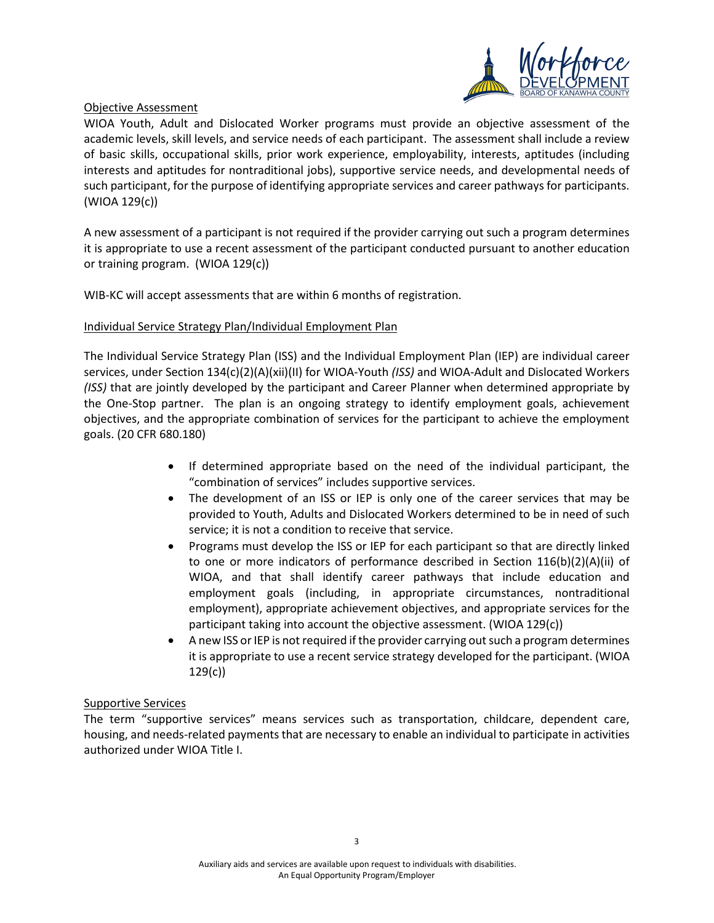

### Objective Assessment

WIOA Youth, Adult and Dislocated Worker programs must provide an objective assessment of the academic levels, skill levels, and service needs of each participant. The assessment shall include a review of basic skills, occupational skills, prior work experience, employability, interests, aptitudes (including interests and aptitudes for nontraditional jobs), supportive service needs, and developmental needs of such participant, for the purpose of identifying appropriate services and career pathways for participants. (WIOA 129(c))

A new assessment of a participant is not required if the provider carrying out such a program determines it is appropriate to use a recent assessment of the participant conducted pursuant to another education or training program. (WIOA 129(c))

WIB-KC will accept assessments that are within 6 months of registration.

#### Individual Service Strategy Plan/Individual Employment Plan

The Individual Service Strategy Plan (ISS) and the Individual Employment Plan (IEP) are individual career services, under Section 134(c)(2)(A)(xii)(II) for WIOA-Youth *(ISS)* and WIOA-Adult and Dislocated Workers *(ISS)* that are jointly developed by the participant and Career Planner when determined appropriate by the One-Stop partner. The plan is an ongoing strategy to identify employment goals, achievement objectives, and the appropriate combination of services for the participant to achieve the employment goals. (20 CFR 680.180)

- If determined appropriate based on the need of the individual participant, the "combination of services" includes supportive services.
- The development of an ISS or IEP is only one of the career services that may be provided to Youth, Adults and Dislocated Workers determined to be in need of such service; it is not a condition to receive that service.
- Programs must develop the ISS or IEP for each participant so that are directly linked to one or more indicators of performance described in Section  $116(b)(2)(A)(ii)$  of WIOA, and that shall identify career pathways that include education and employment goals (including, in appropriate circumstances, nontraditional employment), appropriate achievement objectives, and appropriate services for the participant taking into account the objective assessment. (WIOA 129(c))
- A new ISS or IEP is not required if the provider carrying out such a program determines it is appropriate to use a recent service strategy developed for the participant. (WIOA 129(c))

#### Supportive Services

The term "supportive services" means services such as transportation, childcare, dependent care, housing, and needs-related payments that are necessary to enable an individual to participate in activities authorized under WIOA Title I.